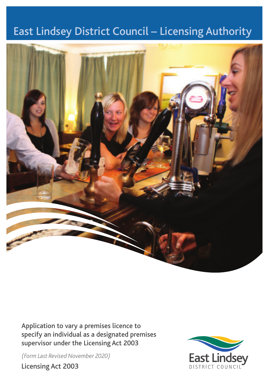# East Lindsey District Council – Licensing Authority



Application to vary a premises licence to specify an individual as a designated premises supervisor under the Licensing Act 2003

*(Form Last Revised November 2020)*

Licensing Act 2003

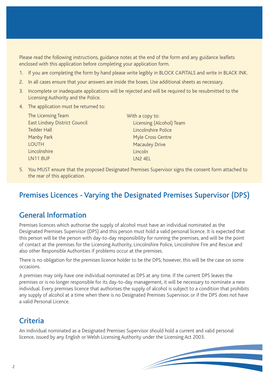Please read the following instructions, guidance notes at the end of the form and any guidance leaflets enclosed with this application before completing your application form.

- 1. If you are completing the form by hand please write legibly in BLOCK CAPITALS and write in BLACK INK.
- 2. In all cases ensure that your answers are inside the boxes. Use additional sheets as necessary.
- 3. Incomplete or inadequate applications will be rejected and will be required to be resubmitted to the Licensing Authority and the Police.
- 4. The application must be returned to:

| The Licensing Team                   | With a copy to:          |
|--------------------------------------|--------------------------|
| <b>East Lindsey District Council</b> | Licensing (Alcohol) Team |
| <b>Tedder Hall</b>                   | Lincolnshire Police      |
| Manby Park                           | Myle Cross Centre        |
| <b>LOUTH</b>                         | <b>Macauley Drive</b>    |
| Lincolnshire                         | Lincoln                  |
| <b>LN118UP</b>                       | LN <sub>2</sub> 4EL      |
|                                      |                          |

5. You MUST ensure that the proposed Designated Premises Supervisor signs the consent form attached to the rear of this application.

# Premises Licences - Varying the Designated Premises Supervisor (DPS)

# General Information

Premises licences which authorise the supply of alcohol must have an individual nominated as the Designated Premises Supervisor (DPS) and this person must hold a valid personal licence. It is expected that this person will be the person with day-to-day responsibility for running the premises, and will be the point of contact at the premises for the Licensing Authority, Lincolnshire Police, Lincolnshire Fire and Rescue and also other Responsible Authorities if problems occur at the premises.

There is no obligation for the premises licence holder to be the DPS; however, this will be the case on some occasions.

A premises may only have one individual nominated as DPS at any time. If the current DPS leaves the premises or is no longer responsible for its day-to-day management, it will be necessary to nominate a new individual. Every premises licence that authorises the supply of alcohol is subject to a condition that prohibits any supply of alcohol at a time when there is no Designated Premises Supervisor, or if the DPS does not have a valid Personal Licence.

# **Criteria**

An individual nominated as a Designated Premises Supervisor should hold a current and valid personal licence, issued by any English or Welsh Licensing Authority under the Licensing Act 2003.

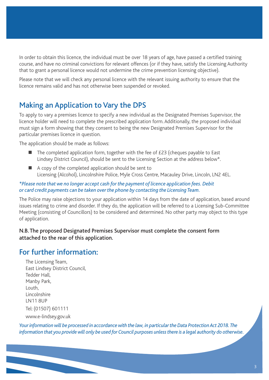In order to obtain this licence, the individual must be over 18 years of age, have passed a certified training course, and have no criminal convictions for relevant offences (or if they have, satisfy the Licensing Authority that to grant a personal licence would not undermine the crime prevention licensing objective).

Please note that we will check any personal licence with the relevant issuing authority to ensure that the licence remains valid and has not otherwise been suspended or revoked.

# Making an Application to Vary the DPS

To apply to vary a premises licence to specify a new individual as the Designated Premises Supervisor, the licence holder will need to complete the prescribed application form. Additionally, the proposed individual must sign a form showing that they consent to being the new Designated Premises Supervisor for the particular premises licence in question.

The application should be made as follows:

- $\blacksquare$  The completed application form, together with the fee of £23 (cheques payable to East Lindsey District Council), should be sent to the Licensing Section at the address below\*.
- A copy of the completed application should be sent to Licensing (Alcohol), Lincolnshire Police, Myle Cross Centre, Macauley Drive, Lincoln, LN2 4EL.

#### *\*Please note that we no longer accept cash for the payment of licence application fees. Debit or card credit payments can be taken over the phone by contacting the Licensing Team.*

The Police may raise objections to your application within 14 days from the date of application, based around issues relating to crime and disorder. If they do, the application will be referred to a Licensing Sub-Committee Meeting (consisting of Councillors) to be considered and determined. No other party may object to this type of application.

#### N.B. The proposed Designated Premises Supervisor must complete the consent form attached to the rear of this application.

### For further information:

The Licensing Team, East Lindsey District Council, Tedder Hall, Manby Park, Louth, Lincolnshire LN11 8UP Tel: (01507) 601111 www.e-lindsey.gov.uk

*Your information will be processed in accordance with the law, in particular the Data Protection Act 2018. The information that you provide will only be used for Council purposes unless there is a legal authority do otherwise.*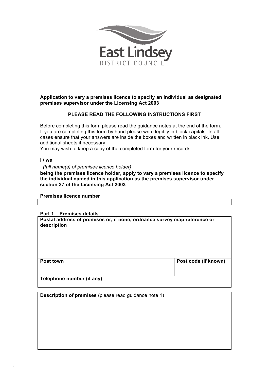

#### **Application to vary a premises licence to specify an individual as designated premises supervisor under the Licensing Act 2003**

#### **PLEASE READ THE FOLLOWING INSTRUCTIONS FIRST**

Before completing this form please read the guidance notes at the end of the form. If you are completing this form by hand please write legibly in block capitals. In all cases ensure that your answers are inside the boxes and written in black ink. Use additional sheets if necessary.

You may wish to keep a copy of the completed form for your records.

**I / we**  *(full name(s) of premises licence holder)*

**being the premises licence holder, apply to vary a premises licence to specify the individual named in this application as the premises supervisor under section 37 of the Licensing Act 2003**

**Premises licence number**

**Part 1 – Premises details**

**Postal address of premises or, if none, ordnance survey map reference or description**

| <b>Post town</b>          | Post code (if known) |
|---------------------------|----------------------|
|                           |                      |
|                           |                      |
|                           |                      |
| Telephone number (if any) |                      |
|                           |                      |

**Description of premises** (please read guidance note 1)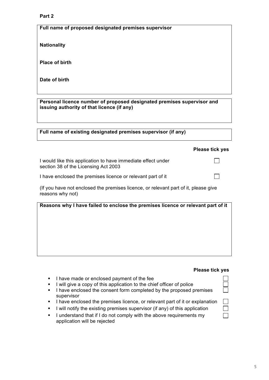#### **Part 2**

**Full name of proposed designated premises supervisor**

**Nationality**

**Place of birth**

**Date of birth**

**Personal licence number of proposed designated premises supervisor and issuing authority of that licence (if any)**

**Full name of existing designated premises supervisor (if any)**

#### **Please tick yes**

 $\Box$ 

 $\Box$ 

I would like this application to have immediate effect under section 38 of the Licensing Act 2003

I have enclosed the premises licence or relevant part of it

(If you have not enclosed the premises licence, or relevant part of it, please give reasons why not)

**Reasons why I have failed to enclose the premises licence or relevant part of it**

#### **Please tick yes**

 $\Box$  $\Box$ 

- I have made or enclosed payment of the fee
- I will give a copy of this application to the chief officer of police
- **EXECTE 1** have enclosed the consent form completed by the proposed premises supervisor
- **•** I have enclosed the premises licence, or relevant part of it or explanation
- I will notify the existing premises supervisor (if any) of this application
- **EXTERN** I understand that if I do not comply with the above requirements my application will be rejected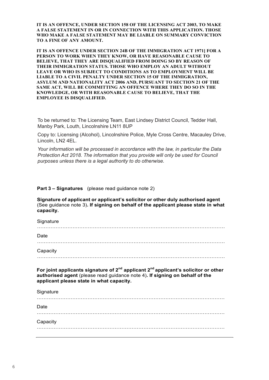**IT IS AN OFFENCE, UNDER SECTION 158 OF THE LICENSING ACT 2003, TO MAKE A FALSE STATEMENT IN OR IN CONNECTION WITH THIS APPLICATION. THOSE WHO MAKE A FALSE STATEMENT MAY BE LIABLE ON SUMMARY CONVICTION TO A FINE OF ANY AMOUNT.** 

**IT IS AN OFFENCE UNDER SECTION 24B OF THE IMMIGRATION ACT 1971] FOR A PERSON TO WORK WHEN THEY KNOW, OR HAVE REASONABLE CAUSE TO BELIEVE, THAT THEY ARE DISQUALIFIED FROM DOING SO BY REASON OF THEIR IMMIGRATION STATUS. THOSE WHO EMPLOY AN ADULT WITHOUT LEAVE OR WHO IS SUBJECT TO CONDITIONS AS TO EMPLOYMENT WILL BE LIABLE TO A CIVIL PENALTY UNDER SECTION 15 OF THE IMMIGRATION, ASYLUM AND NATIONALITY ACT 2006 AND, PURSUANT TO SECTION 21 OF THE SAME ACT, WILL BE COMMITTING AN OFFENCE WHERE THEY DO SO IN THE KNOWLEDGE, OR WITH REASONABLE CAUSE TO BELIEVE, THAT THE EMPLOYEE IS DISQUALIFIED.** 

To be returned to: The Licensing Team, East Lindsey District Council, Tedder Hall, Manby Park, Louth, Lincolnshire LN11 8UP

**IT IS AN OFFENCE UNDER SECTION 24B OF THE IMMIGRATION ACT 1971] FOR A PERSONAL** *TOPS* **<b>TOPS PERSONAL** *REAGONO POICE POICE MyIE* **Cross Centre, Macauley D BELIEVE ARE DISCUSSIONS ARE DISCUSSIONS ARE DISCUSSIONS OF A REAL AREA DISCUSSIONS OF A REAL AREA DISCUSSIONS OF A REAL AREA DISCUSSIONS OF A REAL AREA DISCUSSIONS OF A REAL AREA DISCUSSIONS OF A REAL AREA DISCUSSIONS OF capacity.**  Copy to: Licensing (Alcohol), Lincolnshire Police, Myle Cross Centre, Macauley Drive,

Your information will be processed in accordance with the law, in particular the Data **LEAVE OR FULL BEFOLLOWED TO CONDITIONS** *LEAVEL BE ANNUMED IN A SUBJECT TO DETERMINE THE DESCRIPTION OF A SUBJECT TO DETERMINE A SUBJECT TO DETERMINE THE LABOR CONDITIONS OF A SUBJECT TO DETERMINE THE LABOR CONDITIONS OF* Protection Act 2018. The information that you provide will only be used for Council purposes unless there is a legal authority to do otherwise.

**Part 3 – Signatures** (please read guidance note 2)

**Signature of applicant or applicant's solicitor or other duly authorised agent**  (See guidance note 3)**. If signing on behalf of the applicant please state in what**  capacity. **authorised agent** (please read guidance note 4)**. If signing on behalf of the alghature of applicant or applicant's s** 

. The contract of the contract of the contract of the contract of the contract of the contract of the contract of the contract of the contract of the contract of the contract of the contract of the contract of the contrac

**Signature** ………………………………………………………………………………………………… Date Date ………………………………………………………………………………………………… Capacity **Capacity** ………………………………………………………………………………………………… **Contact name (where not previously given) and postal address for For joint applicants signature of 2nd applicant 2nd applicant's solicitor or other authorised agent** (please read guidance note 4)**. If signing on behalf of the applicant please state in what capacity. Signature** ………………………………………………………………………………………………… Date ………………………………………………………………………………………………… **Telephone number (if any) Capacity** ………………………………………………………………………………………………… **(optional)**  $\mathbf{R}$  . The contract of the contract of the contract of the contract of the contract of the contract of the contract of the contract of the contract of the contract of the contract of the contract of the contract of th  $\mathcal{L}$  . The contract of the contract of the contract of the contract of the contract of the contract of the contract of the contract of the contract of the contract of the contract of the contract of the contract of th **correspondence associated with this application** (please read guidance note 5) **Post town Post Code If you would prefer us to compute the correspond with your e-mail your e-mail your e-mail your e-mail address**  $\mathcal{L} = \mathcal{L}$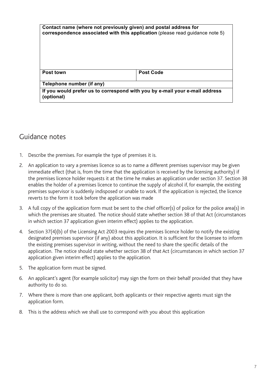| Contact name (where not previously given) and postal address for<br>correspondence associated with this application (please read guidance note 5) |                  |
|---------------------------------------------------------------------------------------------------------------------------------------------------|------------------|
| Post town                                                                                                                                         | <b>Post Code</b> |
| Telephone number (if any)                                                                                                                         |                  |
| If you would prefer us to correspond with you by e-mail your e-mail address<br>(optional)                                                         |                  |

# Guidance notes

- 1. Describe the premises. For example the type of premises it is.
- 2. An application to vary a premises licence so as to name a different premises supervisor may be given immediate effect (that is, from the time that the application is received by the licensing authority) if the premises licence holder requests it at the time he makes an application under section 37. Section 38 enables the holder of a premises licence to continue the supply of alcohol if, for example, the existing premises supervisor is suddenly indisposed or unable to work. If the application is rejected, the licence reverts to the form it took before the application was made
- 3. A full copy of the application form must be sent to the chief officer(s) of police for the police area(s) in which the premises are situated. The notice should state whether section 38 of that Act (circumstances in which section 37 application given interim effect) applies to the application.
- 4. Section 37(4)(b) of the Licensing Act 2003 requires the premises licence holder to notify the existing designated premises supervisor (if any) about this application. It is sufficient for the licensee to inform the existing premises supervisor in writing, without the need to share the specific details of the application. The notice should state whether section 38 of that Act (circumstances in which section 37 application given interim effect) applies to the application.
- 5. The application form must be signed.
- 6. An applicant's agent (for example solicitor) may sign the form on their behalf provided that they have authority to do so.
- 7. Where there is more than one applicant, both applicants or their respective agents must sign the application form.
- 8. This is the address which we shall use to correspond with you about this application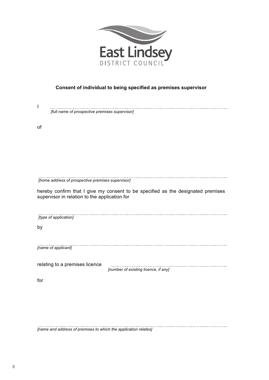

#### **Consent of individual to being specified as premises supervisor**

| [full name of prospective premises supervisor]                                                                                    |                                      |  |
|-----------------------------------------------------------------------------------------------------------------------------------|--------------------------------------|--|
| of                                                                                                                                |                                      |  |
|                                                                                                                                   |                                      |  |
|                                                                                                                                   |                                      |  |
|                                                                                                                                   |                                      |  |
| [home address of prospective premises supervisor]                                                                                 |                                      |  |
| hereby confirm that I give my consent to be specified as the designated premises<br>supervisor in relation to the application for |                                      |  |
|                                                                                                                                   |                                      |  |
| [type of application]                                                                                                             |                                      |  |
| by                                                                                                                                |                                      |  |
| [name of applicant]                                                                                                               |                                      |  |
| relating to a premises licence                                                                                                    | [number of existing licence, if any] |  |
|                                                                                                                                   |                                      |  |
| for                                                                                                                               |                                      |  |
|                                                                                                                                   |                                      |  |

*[name and address of premises to which the application relates]*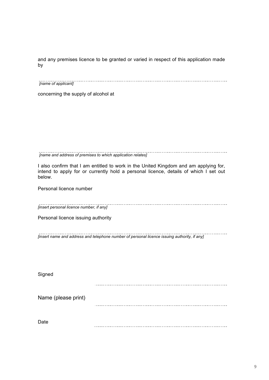and any premises licence to be granted or varied in respect of this application made by

*[name of applicant]*

concerning the supply of alcohol at

*[name and address of premises to which application relates]*

I also confirm that I am entitled to work in the United Kingdom and am applying for, intend to apply for or currently hold a personal licence, details of which I set out below.

Personal licence number

*[insert personal licence number, if any]*

 $\overline{a}$ 

Personal licence issuing authority

<u>. . . . . . . . . . . .</u> *[insert name and address and telephone number of personal licence issuing authority, if any]*

**Signed** 

Name (please print)

Date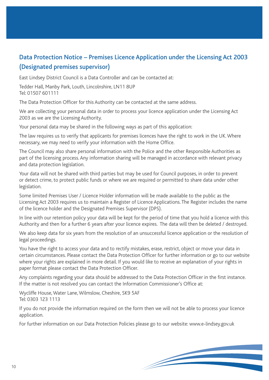# Data Protection Notice – Premises Licence Application under the Licensing Act 2003 (Designated premises supervisor)

East Lindsey District Council is a Data Controller and can be contacted at:

Tedder Hall, Manby Park, Louth, Lincolnshire, LN11 8UP Tel: 01507 601111

The Data Protection Officer for this Authority can be contacted at the same address.

We are collecting your personal data in order to process your licence application under the Licensing Act 2003 as we are the Licensing Authority.

Your personal data may be shared in the following ways as part of this application:

The law requires us to verify that applicants for premises licences have the right to work in the UK. Where necessary, we may need to verify your information with the Home Office.

The Council may also share personal information with the Police and the other Responsible Authorities as part of the licensing process. Any information sharing will be managed in accordance with relevant privacy and data protection legislation.

Your data will not be shared with third parties but may be used for Council purposes, in order to prevent or detect crime, to protect public funds or where we are required or permitted to share data under other legislation.

Some limited Premises User / Licence Holder information will be made available to the public as the Licensing Act 2003 requires us to maintain a Register of Licence Applications. The Register includes the name of the licence holder and the Designated Premises Supervisor (DPS).

In line with our retention policy your data will be kept for the period of time that you hold a licence with this Authority and then for a further 6 years after your licence expires. The data will then be deleted / destroyed.

We also keep data for six years from the resolution of an unsuccessful licence application or the resolution of legal proceedings.

You have the right to access your data and to rectify mistakes, erase, restrict, object or move your data in certain circumstances. Please contact the Data Protection Officer for further information or go to our website where your rights are explained in more detail. If you would like to receive an explanation of your rights in paper format please contact the Data Protection Officer.

Any complaints regarding your data should be addressed to the Data Protection Officer in the first instance. If the matter is not resolved you can contact the Information Commissioner's Office at:

Wycliffe House, Water Lane, Wilmslow, Cheshire, SK9 5AF Tel: 0303 123 1113

If you do not provide the information required on the form then we will not be able to process your licence application.

For further information on our Data Protection Policies please go to our website: www.e-lindsey.gov.uk